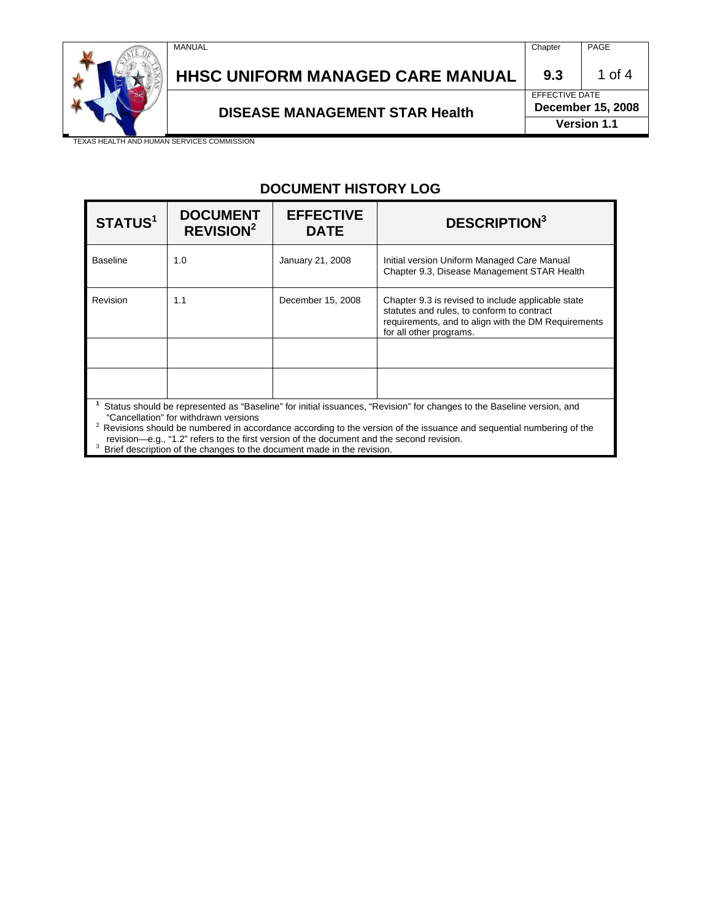

# HHSC UNIFORM MANAGED CARE MANUAL | 9.3 | 1 of 4

# EFFECTIVE DATE

DISEASE MANAGEMENT STAR Health December 15, 2008

**Version 1.1**

TEXAS HEALTH AND HUMAN SERVICES COMMISSION

#### **DOCUMENT HISTORY LOG**

| STATUS <sup>1</sup>                                                                                                                                            | <b>DOCUMENT</b><br><b>REVISION<sup>2</sup></b> | <b>EFFECTIVE</b><br><b>DATE</b> | <b>DESCRIPTION</b> <sup>3</sup>                                                                                                                                                    |
|----------------------------------------------------------------------------------------------------------------------------------------------------------------|------------------------------------------------|---------------------------------|------------------------------------------------------------------------------------------------------------------------------------------------------------------------------------|
| <b>Baseline</b>                                                                                                                                                | 1.0                                            | January 21, 2008                | Initial version Uniform Managed Care Manual<br>Chapter 9.3, Disease Management STAR Health                                                                                         |
| Revision                                                                                                                                                       | 1.1                                            | December 15, 2008               | Chapter 9.3 is revised to include applicable state<br>statutes and rules, to conform to contract<br>requirements, and to align with the DM Requirements<br>for all other programs. |
|                                                                                                                                                                |                                                |                                 |                                                                                                                                                                                    |
|                                                                                                                                                                |                                                |                                 |                                                                                                                                                                                    |
| Status should be represented as "Baseline" for initial issuances, "Revision" for changes to the Baseline version, and<br>"Cancellation" for withdrawn versions |                                                |                                 |                                                                                                                                                                                    |

 $2$  Revisions should be numbered in accordance according to the version of the issuance and sequential numbering of the

revision—e.g., "1.2" refers to the first version of the document and the second revision.<br><sup>3</sup> Brief description of the changes to the document made in the revision.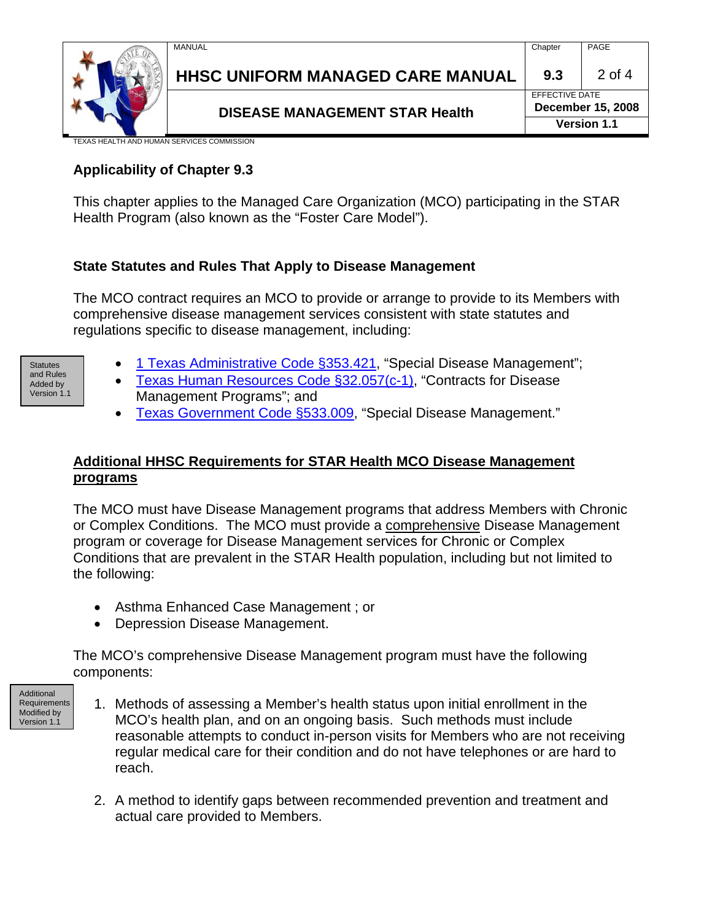



# **HHSC UNIFORM MANAGED CARE MANUAL | 9.3 | 2 of 4**

### **DISEASE MANAGEMENT STAR Health December 15, 2008**

EFFECTIVE DATE **Version 1.1**

**KAS HEALTH AND HUMAN SERVICES COMMISSION** 

#### **Applicability of Chapter 9.3**

This chapter applies to the Managed Care Organization (MCO) participating in the STAR Health Program (also known as the "Foster Care Model").

#### **State Statutes and Rules That Apply to Disease Management**

The MCO contract requires an MCO to provide or arrange to provide to its Members with comprehensive disease management services consistent with state statutes and regulations specific to disease management, including:

- and Rules Added by Version 1.1
- Statutes  **[1 Texas Administrative Code §353.421,](http://info.sos.state.tx.us/pls/pub/readtac$ext.TacPage?sl=R&app=9&p_dir=&p_rloc=&p_tloc=&p_ploc=&pg=1&p_tac=&ti=1&pt=15&ch=353&rl=421) "Special Disease Management";** 
	- [Texas Human Resources Code §32.057\(c-1\),](http://tlo2.tlc.state.tx.us/statutes/docs/HR/content/htm/hr.002.00.000032.00.htm#32.057.00) "Contracts for Disease Management Programs"; and
	- [Texas Government Code §533.009](http://tlo2.tlc.state.tx.us/statutes/docs/GV/content/htm/gv.004.00.000533.00.htm#533.009.00), "Special Disease Management."

#### **Additional HHSC Requirements for STAR Health MCO Disease Management programs**

The MCO must have Disease Management programs that address Members with Chronic or Complex Conditions. The MCO must provide a comprehensive Disease Management program or coverage for Disease Management services for Chronic or Complex Conditions that are prevalent in the STAR Health population, including but not limited to the following:

- Asthma Enhanced Case Management ; or
- Depression Disease Management.

The MCO's comprehensive Disease Management program must have the following components:

- Additional **Requirements** Modified by Version 1.1
	- 1. Methods of assessing a Member's health status upon initial enrollment in the MCO's health plan, and on an ongoing basis. Such methods must include reasonable attempts to conduct in-person visits for Members who are not receiving regular medical care for their condition and do not have telephones or are hard to reach.
		- 2. A method to identify gaps between recommended prevention and treatment and actual care provided to Members.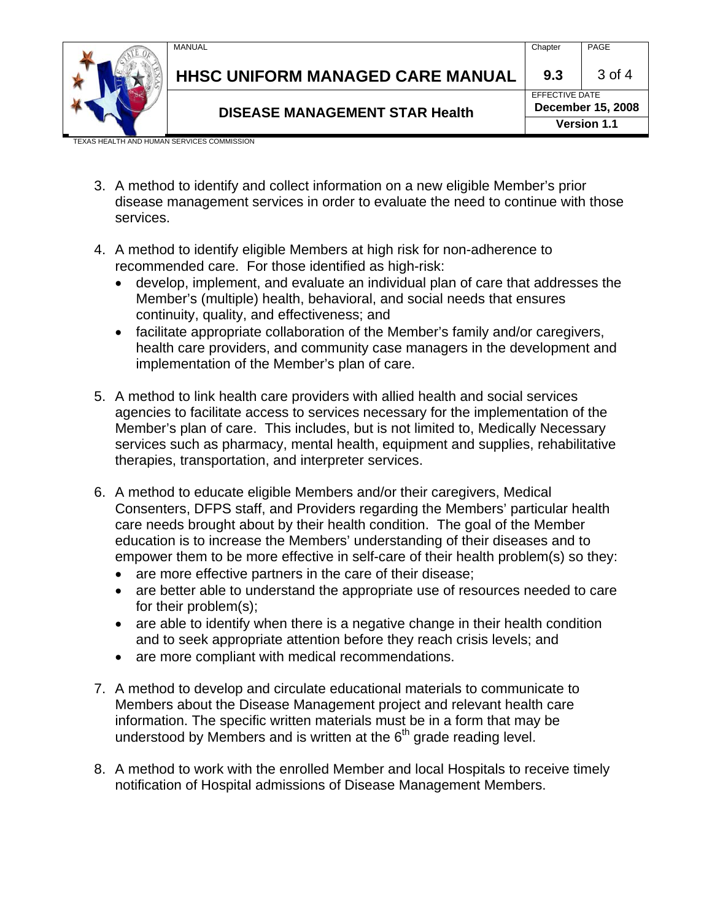

## HHSC UNIFORM MANAGED CARE MANUAL | 9.3 | 3 of 4

EFFECTIVE DATE **DISEASE MANAGEMENT STAR Health December 15, 2008** 

**Version 1.1**

(AS HEALTH AND HUMAN SERVICES COMMISSION

- 3. A method to identify and collect information on a new eligible Member's prior disease management services in order to evaluate the need to continue with those services.
- 4. A method to identify eligible Members at high risk for non-adherence to recommended care. For those identified as high-risk:
	- develop, implement, and evaluate an individual plan of care that addresses the Member's (multiple) health, behavioral, and social needs that ensures continuity, quality, and effectiveness; and
	- facilitate appropriate collaboration of the Member's family and/or caregivers, health care providers, and community case managers in the development and implementation of the Member's plan of care.
- 5. A method to link health care providers with allied health and social services agencies to facilitate access to services necessary for the implementation of the Member's plan of care. This includes, but is not limited to, Medically Necessary services such as pharmacy, mental health, equipment and supplies, rehabilitative therapies, transportation, and interpreter services.
- 6. A method to educate eligible Members and/or their caregivers, Medical Consenters, DFPS staff, and Providers regarding the Members' particular health care needs brought about by their health condition. The goal of the Member education is to increase the Members' understanding of their diseases and to empower them to be more effective in self-care of their health problem(s) so they:
	- are more effective partners in the care of their disease;
	- are better able to understand the appropriate use of resources needed to care for their problem(s);
	- are able to identify when there is a negative change in their health condition and to seek appropriate attention before they reach crisis levels; and
	- are more compliant with medical recommendations.
- 7. A method to develop and circulate educational materials to communicate to Members about the Disease Management project and relevant health care information. The specific written materials must be in a form that may be understood by Members and is written at the  $6<sup>th</sup>$  grade reading level.
- 8. A method to work with the enrolled Member and local Hospitals to receive timely notification of Hospital admissions of Disease Management Members.